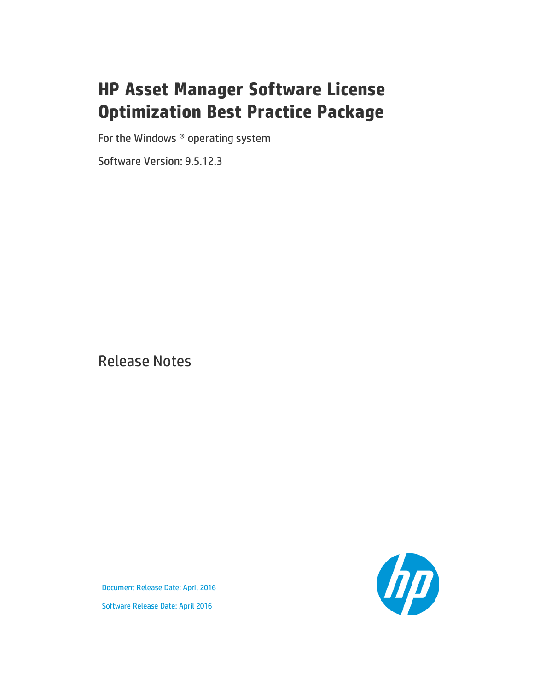# **HP Asset Manager Software License Optimization Best Practice Package**

For the Windows ® operating system

Software Version: 9.5.12.3

Release Notes

the

Document Release Date: April 2016 Software Release Date: April 2016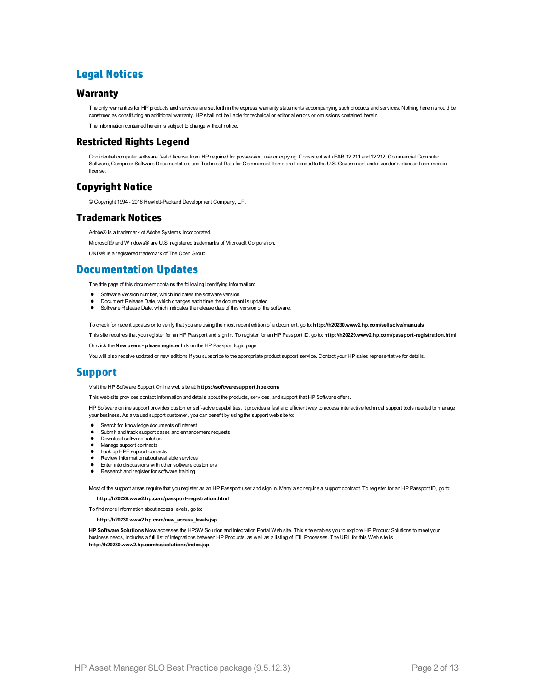## **Legal Notices**

#### **Warranty**

The only warranties for HP products and services are set forth in the express warranty statements accompanying such products and services. Nothing herein should be construed as constituting an additional warranty. HP shall not be liable for technical or editorial errors or omissions contained herein.

The information contained herein is subject to change without notice.

#### **Restricted Rights Legend**

Confidential computer software. Valid license from HP required for possession, use or copying. Consistent with FAR 12.211 and 12.212, Commercial Computer Software, Computer Software Documentation, and Technical Data for Commercial Items are licensed to the U.S. Government under vendor's standard commercial license.

### **Copyright Notice**

© Copyright 1994 - 2016 Hewlett-Packard Development Company, L.P.

#### **Trademark Notices**

Adobe® is a trademark of Adobe Systems Incorporated.

Microsoft® and Windows® are U.S. registered trademarks of Microsoft Corporation.

UNIX® is a registered trademark of The Open Group.

### **Documentation Updates**

The title page of this document contains the following identifying information:

- Software Version number, which indicates the software version.
- Document Release Date, which changes each time the document is updated.\n• <b>Soflu</b> are <b>Alqase Data</b>, which indicates the release data of this version of the
- Software Release Date, which indicates the release date of this version of the software.

To check for recent updates or to verify that you are using the most recent edition of a document, go to: **http://h20230.www2.hp.com/selfsolve/manuals**

This site requires that you register for an HP Passport and sign in. To register for an HP Passport ID, go to: **http://h20229.www2.hp.com/passport-registration.html**

Or click the **New users - please register** link on the HP Passport login page.

You will also receive updated or new editions if you subscribe to the appropriate product support service. Contact your HP sales representative for details.

## **Support**

#### Visit the HP Software Support Online web site at: **https://softwaresupport.hpe.com/**

This web site provides contact information and details about the products, services, and support that HP Software offers.

HP Software online support provides customer self-solve capabilities. It provides a fast and efficient way to access interactive technical support tools needed to manage your business. As a valued support customer, you can benefit by using the support web site to:

- **e** Search for knowledge documents of interest
- Submit and track support cases and enhancement requests
- Download software patches
- Manage support contracts
- Look up HPE support contacts
- Review information about available services
- Enter into discussions with other software customers
- Research and register for software training

Most of the support areas require that you register as an HP Passport user and sign in. Many also require a support contract. To register for an HP Passport ID, go to:

**http://h20229.www2.hp.com/passport-registration.html**

To find more information about access levels, go to:

**http://h20230.www2.hp.com/new\_access\_levels.jsp**

**HP Software Solutions Now** accesses the HPSW Solution and Integration Portal Web site. This site enables you to explore HP Product Solutions to meet your business needs, includes a full list of Integrations between HP Products, as well as a listing of ITIL Processes. The URL for this Web site is **http://h20230.www2.hp.com/sc/solutions/index.jsp**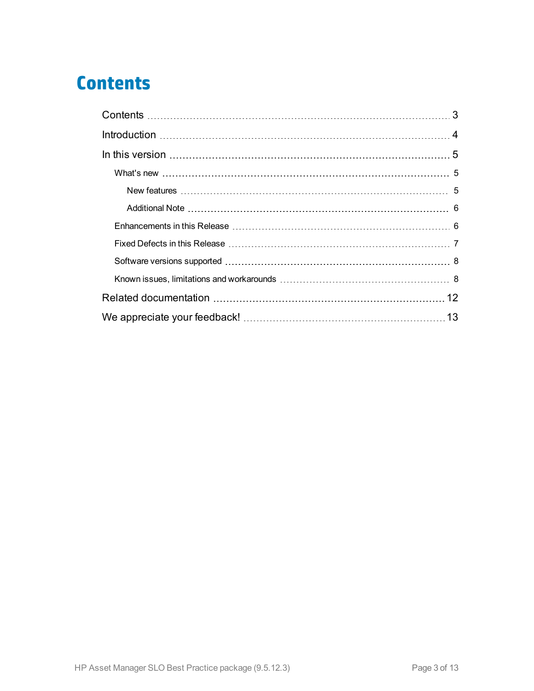# <span id="page-2-0"></span>**Contents**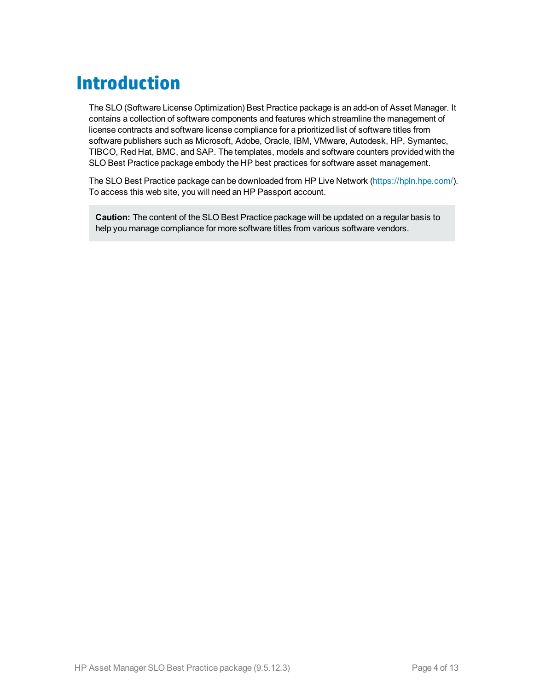# <span id="page-3-0"></span>**Introduction**

The SLO (Software License Optimization) Best Practice package is an add-on of Asset Manager. It contains a collection of software components and features which streamline the management of license contracts and software license compliance for a prioritized list of software titles from software publishers such as Microsoft, Adobe, Oracle, IBM, VMware, Autodesk, HP, Symantec, TIBCO, Red Hat, BMC, and SAP. The templates, models and software counters provided with the SLO Best Practice package embody the HP best practices for software asset management.

The SLO Best Practice package can be downloaded from HP Live Network ([https://hpln.hpe.com/\)](https://hpln.hpe.com/). To access this web site, you will need an HP Passport account.

**Caution:** The content of the SLO Best Practice package will be updated on a regular basis to help you manage compliance for more software titles from various software vendors.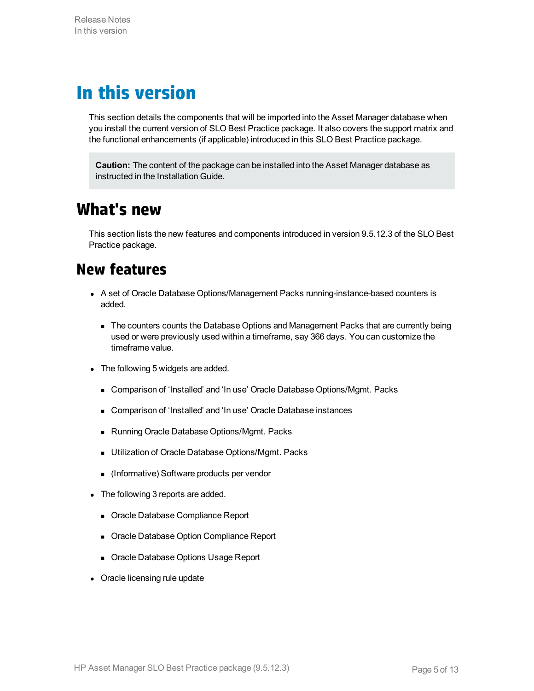# <span id="page-4-0"></span>**In this version**

This section details the components that will be imported into the Asset Manager database when you install the current version of SLO Best Practice package. It also covers the support matrix and the functional enhancements (if applicable) introduced in this SLO Best Practice package.

**Caution:** The content of the package can be installed into the Asset Manager database as instructed in the Installation Guide.

## <span id="page-4-1"></span>**What's new**

<span id="page-4-2"></span>This section lists the new features and components introduced in version 9.5.12.3 of the SLO Best Practice package.

## **New features**

- A set of Oracle Database Options/Management Packs running-instance-based counters is added.
	- n The counters counts the Database Options and Management Packs that are currently being used or were previously used within a timeframe, say 366 days. You can customize the timeframe value.
- The following 5 widgets are added.
	- Comparison of 'Installed' and 'In use' Oracle Database Options/Mgmt. Packs
	- **EX Comparison of 'Installed' and 'In use' Oracle Database instances**
	- Running Oracle Database Options/Mgmt. Packs
	- **u** Utilization of Oracle Database Options/Mgmt. Packs
	- <sup>n</sup> (Informative) Software products per vendor
- The following 3 reports are added.
	- Oracle Database Compliance Report
	- **Dracle Database Option Compliance Report**
	- **n** Oracle Database Options Usage Report
- Oracle licensing rule update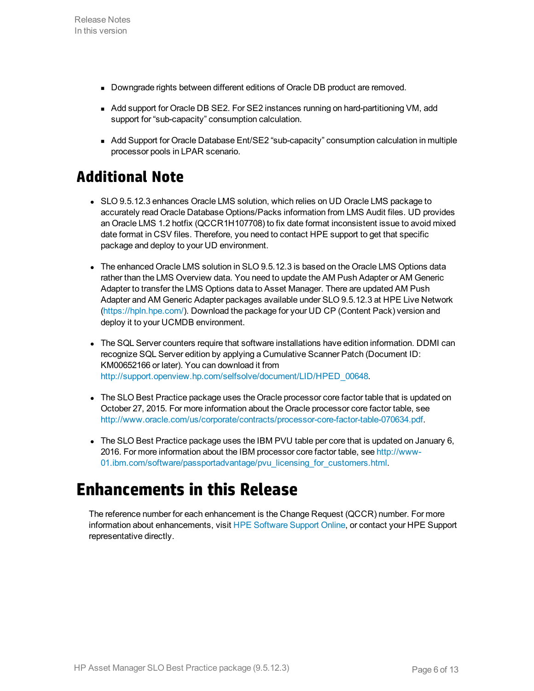- <sup>n</sup> Downgrade rights between different editions of Oracle DB product are removed.
- Add support for Oracle DB SE2. For SE2 instances running on hard-partitioning VM, add support for "sub-capacity" consumption calculation.
- Add Support for Oracle Database Ent/SE2 "sub-capacity" consumption calculation in multiple processor pools in LPAR scenario.

## <span id="page-5-0"></span>**Additional Note**

- SLO 9.5.12.3 enhances Oracle LMS solution, which relies on UD Oracle LMS package to accurately read Oracle Database Options/Packs information from LMS Audit files. UD provides an Oracle LMS 1.2 hotfix (QCCR1H107708) to fix date format inconsistent issue to avoid mixed date format in CSV files. Therefore, you need to contact HPE support to get that specific package and deploy to your UD environment.
- The enhanced Oracle LMS solution in SLO 9.5.12.3 is based on the Oracle LMS Options data rather than the LMS Overview data. You need to update the AM Push Adapter or AM Generic Adapter to transfer the LMS Options data to Asset Manager. There are updated AM Push Adapter and AM Generic Adapter packages available under SLO 9.5.12.3 at HPE Live Network [\(https://hpln.hpe.com/\)](https://hpln.hpe.com/). Download the package for your UD CP (Content Pack) version and deploy it to your UCMDB environment.
- The SQL Server counters require that software installations have edition information. DDMI can recognize SQL Server edition by applying a Cumulative Scanner Patch (Document ID: KM00652166 or later). You can download it from [http://support.openview.hp.com/selfsolve/document/LID/HPED\\_00648](http://support.openview.hp.com/selfsolve/document/LID/HPED_00648).
- The SLO Best Practice package uses the Oracle processor core factor table that is updated on October 27, 2015. For more information about the Oracle processor core factor table, see <http://www.oracle.com/us/corporate/contracts/processor-core-factor-table-070634.pdf>.
- The SLO Best Practice package uses the IBM PVU table per core that is updated on January 6, 2016. For more information about the IBM processor core factor table, see http://www-01.*ibm.com/software/passportadvantage/pvu* licensing for customers.html.

# <span id="page-5-1"></span>**Enhancements in this Release**

The reference number for each enhancement is the Change Request (QCCR) number. For more information about enhancements, visit HPE [Software](https://softwaresupport.hpe.com/) Support Online, or contact your HPE Support representative directly.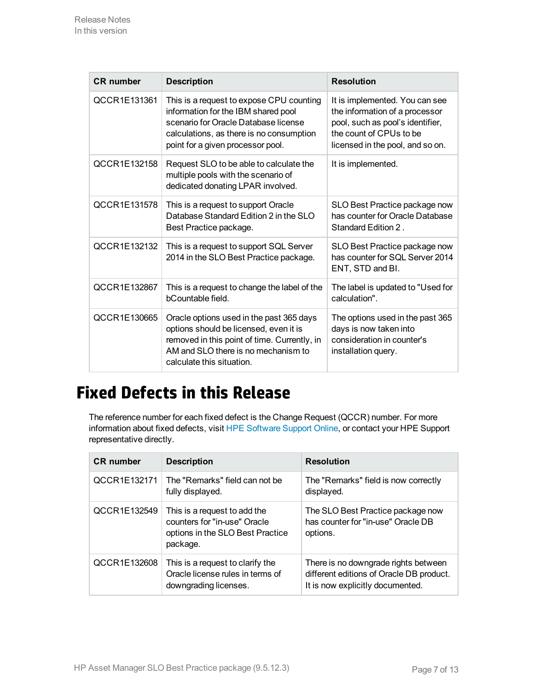| <b>CR</b> number | <b>Description</b>                                                                                                                                                                                       | <b>Resolution</b>                                                                                                                                                   |
|------------------|----------------------------------------------------------------------------------------------------------------------------------------------------------------------------------------------------------|---------------------------------------------------------------------------------------------------------------------------------------------------------------------|
| QCCR1E131361     | This is a request to expose CPU counting<br>information for the IBM shared pool<br>scenario for Oracle Database license<br>calculations, as there is no consumption<br>point for a given processor pool. | It is implemented. You can see<br>the information of a processor<br>pool, such as pool's identifier,<br>the count of CPUs to be<br>licensed in the pool, and so on. |
| QCCR1E132158     | Request SLO to be able to calculate the<br>multiple pools with the scenario of<br>dedicated donating LPAR involved.                                                                                      | It is implemented.                                                                                                                                                  |
| QCCR1E131578     | This is a request to support Oracle<br>Database Standard Edition 2 in the SLO<br>Best Practice package.                                                                                                  | SLO Best Practice package now<br>has counter for Oracle Database<br>Standard Edition 2.                                                                             |
| QCCR1E132132     | This is a request to support SQL Server<br>2014 in the SLO Best Practice package.                                                                                                                        | SLO Best Practice package now<br>has counter for SQL Server 2014<br>ENT, STD and BI.                                                                                |
| QCCR1E132867     | This is a request to change the label of the<br>bCountable field.                                                                                                                                        | The label is updated to "Used for<br>calculation".                                                                                                                  |
| QCCR1E130665     | Oracle options used in the past 365 days<br>options should be licensed, even it is<br>removed in this point of time. Currently, in<br>AM and SLO there is no mechanism to<br>calculate this situation.   | The options used in the past 365<br>days is now taken into<br>consideration in counter's<br>installation query.                                                     |

# <span id="page-6-0"></span>**Fixed Defects in this Release**

The reference number for each fixed defect is the Change Request (QCCR) number. For more information about fixed defects, visit HPE [Software](https://softwaresupport.hpe.com/) Support Online, or contact your HPE Support representative directly.

| <b>CR</b> number | <b>Description</b>                                                                                           | <b>Resolution</b>                                                                                                    |
|------------------|--------------------------------------------------------------------------------------------------------------|----------------------------------------------------------------------------------------------------------------------|
| QCCR1E132171     | The "Remarks" field can not be<br>fully displayed.                                                           | The "Remarks" field is now correctly<br>displayed.                                                                   |
| QCCR1E132549     | This is a request to add the<br>counters for "in-use" Oracle<br>options in the SLO Best Practice<br>package. | The SLO Best Practice package now<br>has counter for "in-use" Oracle DB<br>options.                                  |
| QCCR1E132608     | This is a request to clarify the<br>Oracle license rules in terms of<br>downgrading licenses.                | There is no downgrade rights between<br>different editions of Oracle DB product.<br>It is now explicitly documented. |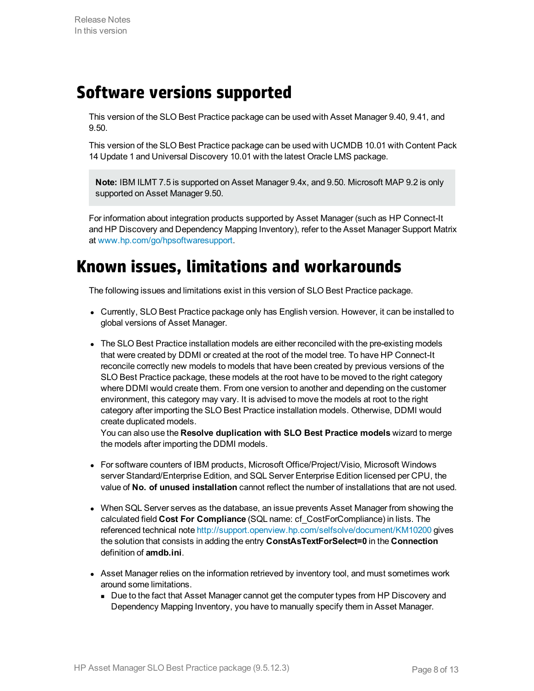## <span id="page-7-0"></span>**Software versions supported**

This version of the SLO Best Practice package can be used with Asset Manager 9.40, 9.41, and 9.50.

This version of the SLO Best Practice package can be used with UCMDB 10.01 with Content Pack 14 Update 1 and Universal Discovery 10.01 with the latest Oracle LMS package.

**Note:** IBM ILMT 7.5 is supported on Asset Manager 9.4x, and 9.50. Microsoft MAP 9.2 is only supported on Asset Manager 9.50.

For information about integration products supported by Asset Manager (such as HP Connect-It and HP Discovery and Dependency Mapping Inventory), refer to the Asset Manager Support Matrix at [www.hp.com/go/hpsoftwaresupport](http://www.hp.com/go/hpsoftwaresupport).

## <span id="page-7-1"></span>**Known issues, limitations and workarounds**

The following issues and limitations exist in this version of SLO Best Practice package.

- Currently, SLO Best Practice package only has English version. However, it can be installed to global versions of Asset Manager.
- The SLO Best Practice installation models are either reconciled with the pre-existing models that were created by DDMI or created at the root of the model tree. To have HP Connect-It reconcile correctly new models to models that have been created by previous versions of the SLO Best Practice package, these models at the root have to be moved to the right category where DDMI would create them. From one version to another and depending on the customer environment, this category may vary. It is advised to move the models at root to the right category after importing the SLO Best Practice installation models. Otherwise, DDMI would create duplicated models.

You can also use the **Resolve duplication with SLO Best Practice models** wizard to merge the models after importing the DDMI models.

- For software counters of IBM products, Microsoft Office/Project/Visio, Microsoft Windows server Standard/Enterprise Edition, and SQL Server Enterprise Edition licensed per CPU, the value of **No. of unused installation** cannot reflect the number of installations that are not used.
- When SQL Server serves as the database, an issue prevents Asset Manager from showing the calculated field **Cost For Compliance** (SQL name: cf\_CostForCompliance) in lists. The referenced technical note <http://support.openview.hp.com/selfsolve/document/KM10200> gives the solution that consists in adding the entry **ConstAsTextForSelect=0** in the **Connection** definition of **amdb.ini**.
- Asset Manager relies on the information retrieved by inventory tool, and must sometimes work around some limitations.
	- Due to the fact that Asset Manager cannot get the computer types from HP Discovery and Dependency Mapping Inventory, you have to manually specify them in Asset Manager.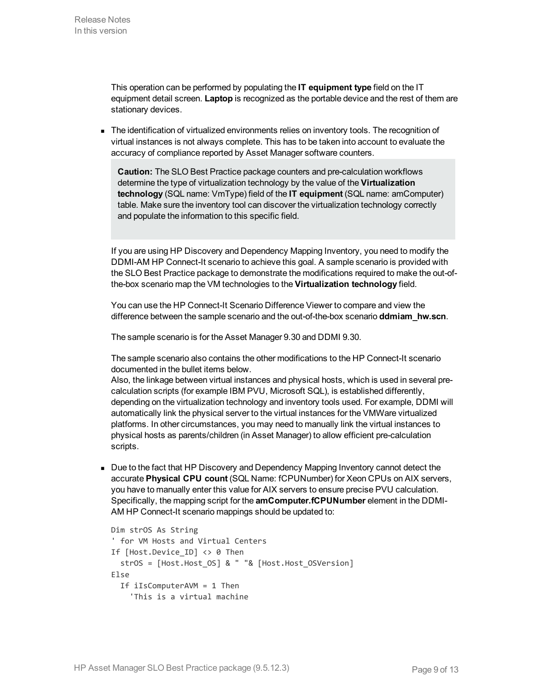This operation can be performed by populating the **IT equipment type** field on the IT equipment detail screen. **Laptop** is recognized as the portable device and the rest of them are stationary devices.

**n** The identification of virtualized environments relies on inventory tools. The recognition of virtual instances is not always complete. This has to be taken into account to evaluate the accuracy of compliance reported by Asset Manager software counters.

**Caution:** The SLO Best Practice package counters and pre-calculation workflows determine the type of virtualization technology by the value of the **Virtualization technology** (SQL name: VmType) field of the **IT equipment** (SQL name: amComputer) table. Make sure the inventory tool can discover the virtualization technology correctly and populate the information to this specific field.

If you are using HP Discovery and Dependency Mapping Inventory, you need to modify the DDMI-AM HP Connect-It scenario to achieve this goal. A sample scenario is provided with the SLO Best Practice package to demonstrate the modifications required to make the out-ofthe-box scenario map the VM technologies to the **Virtualization technology** field.

You can use the HP Connect-It Scenario Difference Viewer to compare and view the difference between the sample scenario and the out-of-the-box scenario **ddmiam\_hw.scn**.

The sample scenario is for the Asset Manager 9.30 and DDMI 9.30.

The sample scenario also contains the other modifications to the HP Connect-It scenario documented in the bullet items below.

Also, the linkage between virtual instances and physical hosts, which is used in several precalculation scripts (for example IBM PVU, Microsoft SQL), is established differently, depending on the virtualization technology and inventory tools used. For example, DDMI will automatically link the physical server to the virtual instances for the VMWare virtualized platforms. In other circumstances, you may need to manually link the virtual instances to physical hosts as parents/children (in Asset Manager) to allow efficient pre-calculation scripts.

Due to the fact that HP Discovery and Dependency Mapping Inventory cannot detect the accurate **Physical CPU count** (SQL Name: fCPUNumber) for Xeon CPUs on AIX servers, you have to manually enter this value for AIX servers to ensure precise PVU calculation. Specifically, the mapping script for the **amComputer.fCPUNumber** element in the DDMI-AM HP Connect-It scenario mappings should be updated to:

```
Dim strOS As String
' for VM Hosts and Virtual Centers
If [Host.Device_ID] <> 0 Then
  strOS = [Host.Host_OS] & " "& [Host.Host_OSVersion]
Else
  If iIsComputerAVM = 1 Then
    'This is a virtual machine
```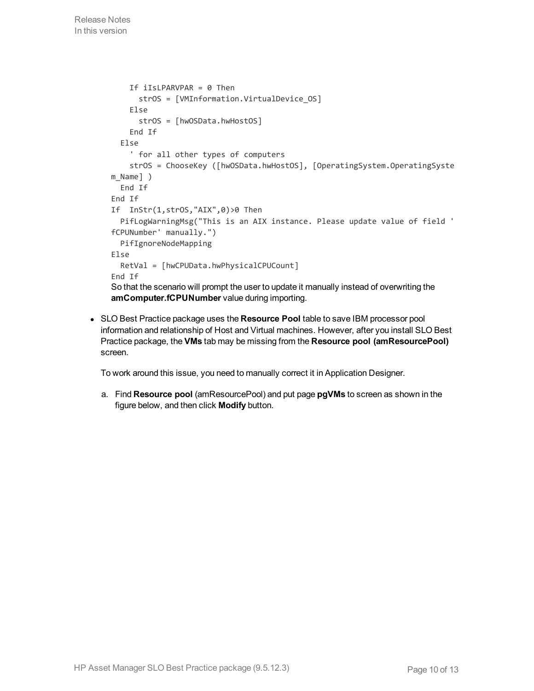```
If iIsLPARVPAR = 0 Then
      strOS = [VMInformation.VirtualDevice_OS]
    Else
      strOS = [hwOSData.hwHostOS]
    End If
  Else
     ' for all other types of computers
    strOS = ChooseKey ([hwOSData.hwHostOS], [OperatingSystem.OperatingSyste
m_Name] )
 End If
End If
If InStr(1,strOS,"AIX",0)>0 Then
  PifLogWarningMsg("This is an AIX instance. Please update value of field '
fCPUNumber' manually.")
  PifIgnoreNodeMapping
Else
  RetVal = [hwCPUData.hwPhysicalCPUCount]
End If
So that the scenario will prompt the user to update it manually instead of overwriting the
amComputer.fCPUNumber value during importing.
```
<sup>l</sup> SLO Best Practice package uses the **Resource Pool** table to save IBM processor pool information and relationship of Host and Virtual machines. However, after you install SLO Best Practice package, the **VMs** tab may be missing from the **Resource pool (amResourcePool)** screen.

To work around this issue, you need to manually correct it in Application Designer.

a. Find **Resource pool** (amResourcePool) and put page **pgVMs** to screen as shown in the figure below, and then click **Modify** button.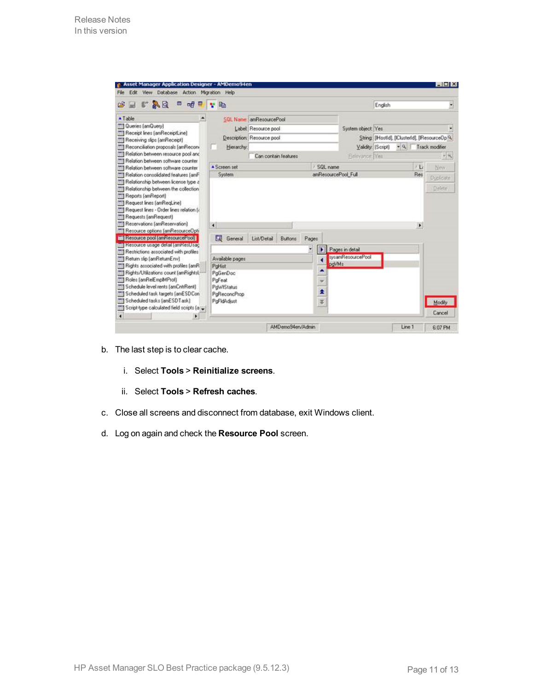| $F \wedge Q$<br>c<br>ы                                                                                                                                                                                                                                                                                                                                                                                                                                                                                                                                             | œ<br>呣<br>ω                              | $\mathbf{v}$ in   |                               |   |       |                     | English            |      |                       |                                              |
|--------------------------------------------------------------------------------------------------------------------------------------------------------------------------------------------------------------------------------------------------------------------------------------------------------------------------------------------------------------------------------------------------------------------------------------------------------------------------------------------------------------------------------------------------------------------|------------------------------------------|-------------------|-------------------------------|---|-------|---------------------|--------------------|------|-----------------------|----------------------------------------------|
| ▲ Table                                                                                                                                                                                                                                                                                                                                                                                                                                                                                                                                                            | ۰                                        |                   | SQL Name: amResourcePool      |   |       |                     |                    |      |                       |                                              |
| <b>TTI Quenes (amQuery)</b>                                                                                                                                                                                                                                                                                                                                                                                                                                                                                                                                        |                                          |                   | Label Resource pool           |   |       | System object Yes   |                    |      |                       |                                              |
| <b>TI Recept Ines [amReceptLine]</b>                                                                                                                                                                                                                                                                                                                                                                                                                                                                                                                               |                                          |                   | Description: Resource pool    |   |       |                     |                    |      |                       | String: [Host[d], [Cluster[d], [ResourceOp?] |
| Receiving slips (amReceipt)                                                                                                                                                                                                                                                                                                                                                                                                                                                                                                                                        |                                          |                   |                               |   |       |                     |                    |      |                       |                                              |
| <b>THE Reconciliation proposals (amRecon-</b><br>Til Relation between resource pool and                                                                                                                                                                                                                                                                                                                                                                                                                                                                            |                                          | Hierarchy:        |                               |   |       |                     | Validity: (Script) | $-9$ |                       | Track modifier                               |
| Fill Relation between software counter                                                                                                                                                                                                                                                                                                                                                                                                                                                                                                                             |                                          |                   | Can contain features          |   |       | Relevance Yes       |                    |      |                       | $-8$                                         |
| Relation between software counter                                                                                                                                                                                                                                                                                                                                                                                                                                                                                                                                  |                                          | A Screen set      |                               |   |       | SQL name            |                    |      | $1 - L$               | Now                                          |
| Relation consolidated features (amF)                                                                                                                                                                                                                                                                                                                                                                                                                                                                                                                               |                                          | System.           |                               |   |       | amResourcePool Full |                    |      | Res                   |                                              |
| TI] Relationship between license type a                                                                                                                                                                                                                                                                                                                                                                                                                                                                                                                            |                                          |                   |                               |   |       |                     |                    |      |                       | Dúplicate                                    |
| Relationship between the collection                                                                                                                                                                                                                                                                                                                                                                                                                                                                                                                                |                                          |                   |                               |   |       |                     |                    |      |                       | Delete:                                      |
|                                                                                                                                                                                                                                                                                                                                                                                                                                                                                                                                                                    |                                          |                   |                               |   |       |                     |                    |      |                       |                                              |
|                                                                                                                                                                                                                                                                                                                                                                                                                                                                                                                                                                    |                                          |                   |                               |   |       |                     |                    |      |                       |                                              |
|                                                                                                                                                                                                                                                                                                                                                                                                                                                                                                                                                                    |                                          |                   |                               |   |       |                     |                    |      |                       |                                              |
|                                                                                                                                                                                                                                                                                                                                                                                                                                                                                                                                                                    |                                          |                   |                               |   |       |                     |                    |      |                       |                                              |
|                                                                                                                                                                                                                                                                                                                                                                                                                                                                                                                                                                    |                                          |                   |                               |   |       |                     |                    |      |                       |                                              |
|                                                                                                                                                                                                                                                                                                                                                                                                                                                                                                                                                                    |                                          |                   |                               |   |       |                     |                    |      |                       |                                              |
|                                                                                                                                                                                                                                                                                                                                                                                                                                                                                                                                                                    |                                          | $\overline{4}$    |                               |   |       |                     |                    |      | $\blacktriangleright$ |                                              |
|                                                                                                                                                                                                                                                                                                                                                                                                                                                                                                                                                                    |                                          | σ<br>General      | List/Detail<br><b>Buttons</b> |   | Pages |                     |                    |      |                       |                                              |
|                                                                                                                                                                                                                                                                                                                                                                                                                                                                                                                                                                    |                                          |                   |                               |   |       |                     |                    |      |                       |                                              |
|                                                                                                                                                                                                                                                                                                                                                                                                                                                                                                                                                                    |                                          |                   |                               | ۷ | E     | Pages in detail     |                    |      |                       |                                              |
|                                                                                                                                                                                                                                                                                                                                                                                                                                                                                                                                                                    |                                          | Available pages   |                               |   | а     | sysamResourcePool   |                    |      |                       |                                              |
|                                                                                                                                                                                                                                                                                                                                                                                                                                                                                                                                                                    |                                          | PoHist            |                               |   |       | pdVMs               |                    |      |                       |                                              |
|                                                                                                                                                                                                                                                                                                                                                                                                                                                                                                                                                                    |                                          | PoGenDoc          |                               |   | ٠     |                     |                    |      |                       |                                              |
|                                                                                                                                                                                                                                                                                                                                                                                                                                                                                                                                                                    |                                          | PoFeat            |                               |   |       |                     |                    |      |                       |                                              |
|                                                                                                                                                                                                                                                                                                                                                                                                                                                                                                                                                                    |                                          | <b>PowTStatus</b> |                               |   |       |                     |                    |      |                       |                                              |
|                                                                                                                                                                                                                                                                                                                                                                                                                                                                                                                                                                    |                                          | PaReconcProp      |                               |   |       |                     |                    |      |                       |                                              |
| Scheduled tasks [amESDT ask]                                                                                                                                                                                                                                                                                                                                                                                                                                                                                                                                       |                                          | PoFidAdiust       |                               |   | $+$   |                     |                    |      |                       |                                              |
| <b>TI Reports (amReport)</b><br>Request lines (amRegLine)<br>Request lines - Order lines relation [¿]<br>Requests (amRequest)<br>[7] Reservations [amReservation]<br>Til Resource options (amResourceOpti<br>The flexource pool (amhesourcePool)<br>ini Herource usage detail amherUsac<br>Restrictions associated with profiles<br>Return sip (amReturnEnv)<br>Fill Rights associated with profiles (amR<br>Rights/Utilizations count (amRights)<br>TTI Roles [amRelEmplMProf]<br>TTT Schedule level rents [amCntrRent]<br>Scheduled task targets (amESDCon)<br>m | Script-type calculated field scripts [a] |                   |                               |   | ¥     |                     |                    |      |                       | Modily<br>Cancel                             |

- b. The last step is to clear cache.
	- i. Select **Tools** > **Reinitialize screens**.
	- ii. Select **Tools** > **Refresh caches**.
- c. Close all screens and disconnect from database, exit Windows client.
- d. Log on again and check the **Resource Pool** screen.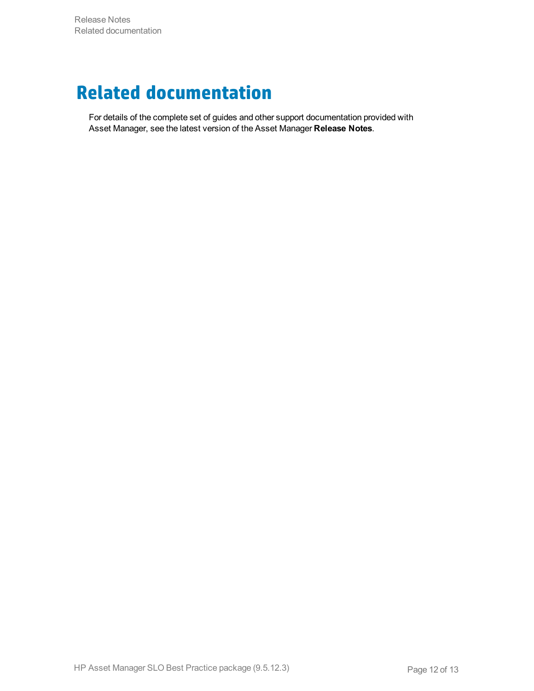# <span id="page-11-0"></span>**Related documentation**

For details of the complete set of guides and other support documentation provided with Asset Manager, see the latest version of the Asset Manager **Release Notes**.